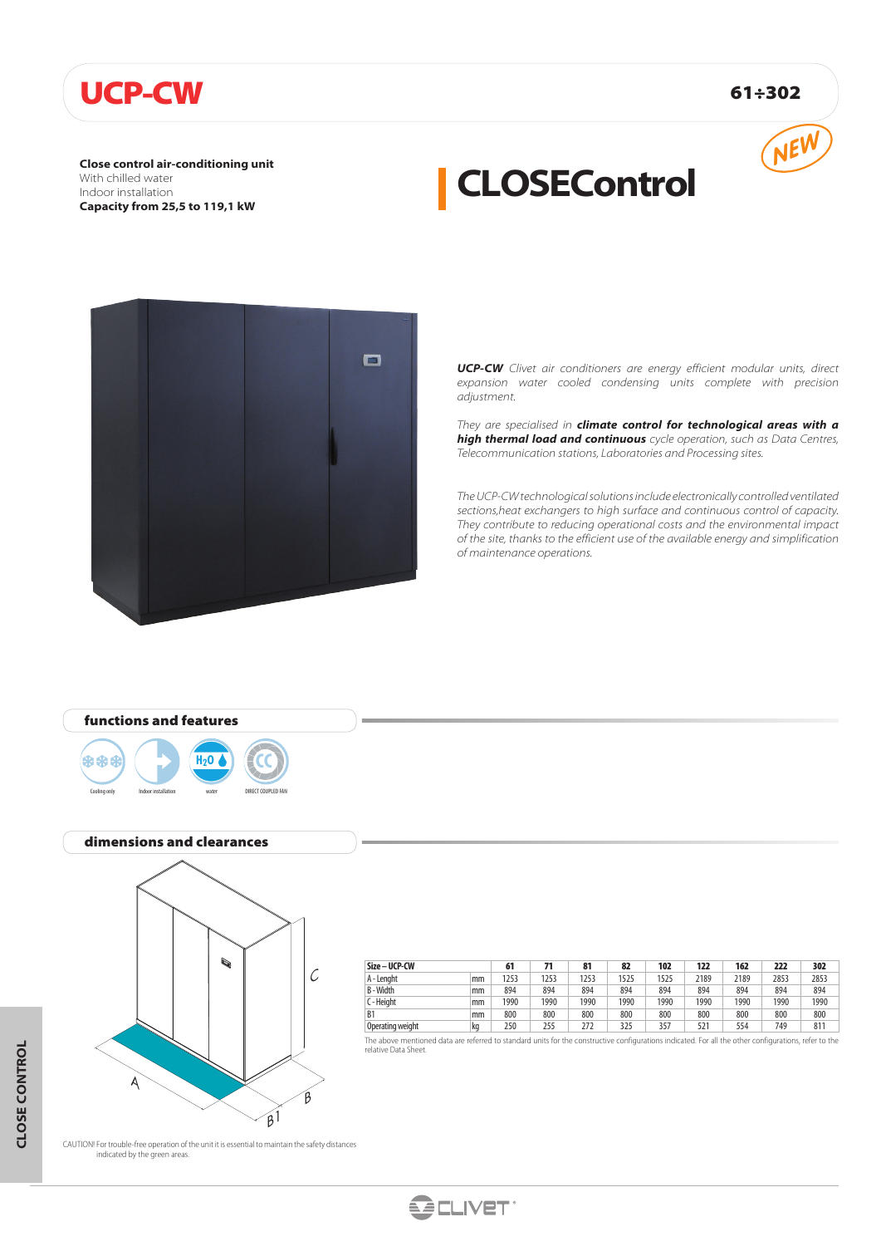## UCP-CW 61÷302

**Close control air-conditioning unit** With chilled water Indoor installation **Capacity from 25,5 to 119,1 kW**



# **CLOSEControl**



*UCP-CW Clivet air conditioners are energy efficient modular units, direct expansion water cooled condensing units complete with precision adjustment.*

*They are specialised in climate control for technological areas with a high thermal load and continuous cycle operation, such as Data Centres, Telecommunication stations, Laboratories and Processing sites.*

*The UCP-CW technological solutions include electronically controlled ventilated sections,heat exchangers to high surface and continuous control of capacity. They contribute to reducing operational costs and the environmental impact of the site, thanks to the efficient use of the available energy and simplification of maintenance operations.*



#### dimensions and clearances

Cooling only Indoor installation water DIRECT COUPLED FAN



| Size - UCP-CW    |    |      |      | 81   | 82   | 102  | 122  | 162  | 222  | 302  |
|------------------|----|------|------|------|------|------|------|------|------|------|
| A - Lenaht       | mm | 1253 | 1253 | 1253 | 1525 | 1525 | 2189 | 2189 | 2853 | 2853 |
| B-Width          | mm | 894  | 894  | 894  | 894  | 894  | 894  | 894  | 894  | 894  |
| C - Heiaht       | mm | 1990 | 1990 | 1990 | 1990 | 1990 | 1990 | 1990 | 1990 | 1990 |
| B <sub>1</sub>   | mm | 800  | 800  | 800  | 800  | 800  | 800  | 800  | 800  | 800  |
| Operating weight | ka | 250  | 255  | 272  | 325  | 357  | 521  | 554  | 749  | 811  |

The above mentioned data are referred to standard units for the constructive configurations indicated. For all the other configurations, refer to the relative Data Sheet.

CAUTION! For trouble-free operation of the unit it is essential to maintain the safety distances indicated by the green areas.